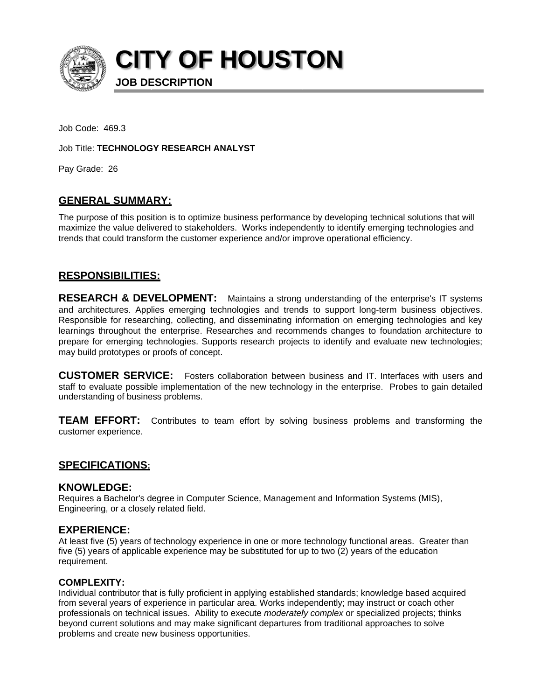

**CITY OF HOUSTON** 

Job Code: 469.3

Job Title: TECHNOLOGY RESEARCH ANALYST

**JOB DESCRIPTION** 

Pay Grade: 26

# **GENERAL SUMMARY:**

The purpose of this position is to optimize business performance by developing technical solutions that will maximize the value delivered to stakeholders. Works independently to identify emerging technologies and trends that could transform the customer experience and/or improve operational efficiency.

## **RESPONSIBILITIES:**

RESEARCH & DEVELOPMENT: Maintains a strong understanding of the enterprise's IT systems and architectures. Applies emerging technologies and trends to support long-term business objectives. Responsible for researching, collecting, and disseminating information on emerging technologies and key learnings throughout the enterprise. Researches and recommends changes to foundation architecture to prepare for emerging technologies. Supports research projects to identify and evaluate new technologies; may build prototypes or proofs of concept.

**CUSTOMER SERVICE:** Fosters collaboration between business and IT. Interfaces with users and staff to evaluate possible implementation of the new technology in the enterprise. Probes to gain detailed understanding of business problems.

**TEAM EFFORT:** Contributes to team effort by solving business problems and transforming the customer experience.

## **SPECIFICATIONS:**

### **KNOWLEDGE:**

Requires a Bachelor's degree in Computer Science, Management and Information Systems (MIS), Engineering, or a closely related field.

### **EXPERIENCE:**

At least five (5) years of technology experience in one or more technology functional areas. Greater than five (5) years of applicable experience may be substituted for up to two (2) years of the education requirement.

### **COMPLEXITY:**

Individual contributor that is fully proficient in applying established standards; knowledge based acquired from several years of experience in particular area. Works independently; may instruct or coach other professionals on technical issues. Ability to execute moderately complex or specialized projects; thinks beyond current solutions and may make significant departures from traditional approaches to solve problems and create new business opportunities.